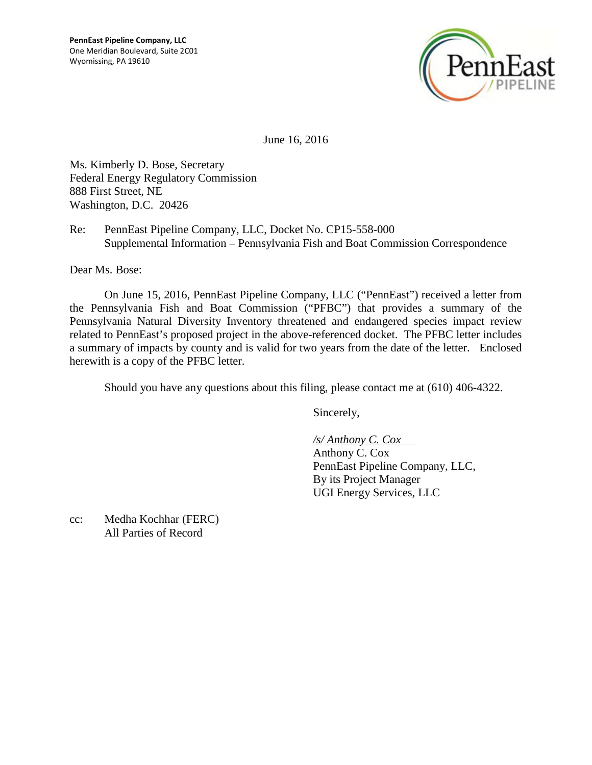

June 16, 2016

Ms. Kimberly D. Bose, Secretary Federal Energy Regulatory Commission 888 First Street, NE Washington, D.C. 20426

Re: PennEast Pipeline Company, LLC, Docket No. CP15-558-000 Supplemental Information – Pennsylvania Fish and Boat Commission Correspondence

Dear Ms. Bose:

On June 15, 2016, PennEast Pipeline Company, LLC ("PennEast") received a letter from the Pennsylvania Fish and Boat Commission ("PFBC") that provides a summary of the Pennsylvania Natural Diversity Inventory threatened and endangered species impact review related to PennEast's proposed project in the above-referenced docket. The PFBC letter includes a summary of impacts by county and is valid for two years from the date of the letter. Enclosed herewith is a copy of the PFBC letter.

Should you have any questions about this filing, please contact me at (610) 406-4322.

Sincerely,

*/s/ Anthony C. Cox*  Anthony C. Cox

PennEast Pipeline Company, LLC, By its Project Manager UGI Energy Services, LLC

cc: Medha Kochhar (FERC) All Parties of Record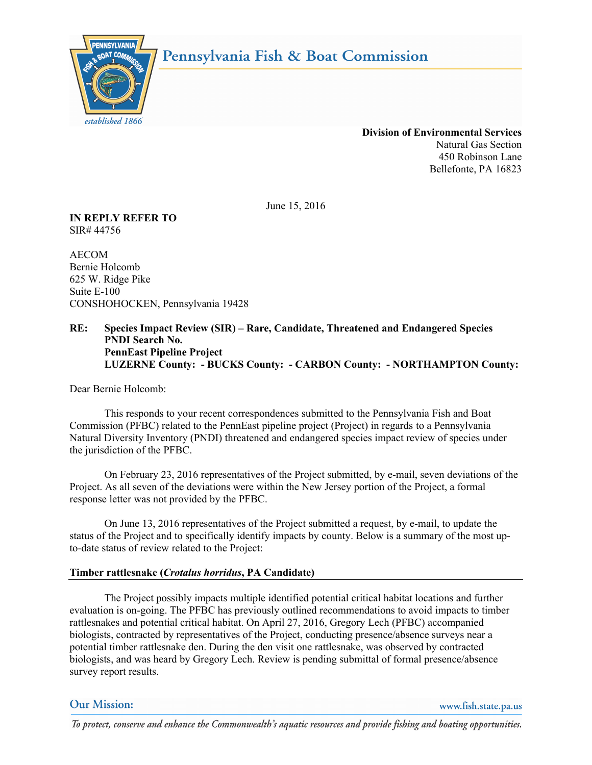



 **Division of Environmental Services** Natural Gas Section 450 Robinson Lane Bellefonte, PA 16823

June 15, 2016

**IN REPLY REFER TO** SIR# 44756

AECOM Bernie Holcomb 625 W. Ridge Pike Suite E-100 CONSHOHOCKEN, Pennsylvania 19428

## **RE: Species Impact Review (SIR) – Rare, Candidate, Threatened and Endangered Species PNDI Search No. PennEast Pipeline Project LUZERNE County: - BUCKS County: - CARBON County: - NORTHAMPTON County:**

Dear Bernie Holcomb:

This responds to your recent correspondences submitted to the Pennsylvania Fish and Boat Commission (PFBC) related to the PennEast pipeline project (Project) in regards to a Pennsylvania Natural Diversity Inventory (PNDI) threatened and endangered species impact review of species under the jurisdiction of the PFBC.

On February 23, 2016 representatives of the Project submitted, by e-mail, seven deviations of the Project. As all seven of the deviations were within the New Jersey portion of the Project, a formal response letter was not provided by the PFBC.

On June 13, 2016 representatives of the Project submitted a request, by e-mail, to update the status of the Project and to specifically identify impacts by county. Below is a summary of the most upto-date status of review related to the Project:

## **Timber rattlesnake (***Crotalus horridus***, PA Candidate)**

The Project possibly impacts multiple identified potential critical habitat locations and further evaluation is on-going. The PFBC has previously outlined recommendations to avoid impacts to timber rattlesnakes and potential critical habitat. On April 27, 2016, Gregory Lech (PFBC) accompanied biologists, contracted by representatives of the Project, conducting presence/absence surveys near a potential timber rattlesnake den. During the den visit one rattlesnake, was observed by contracted biologists, and was heard by Gregory Lech. Review is pending submittal of formal presence/absence survey report results.

# **Our Mission:**

www.fish.state.pa.us

To protect, conserve and enhance the Commonwealth's aquatic resources and provide fishing and boating opportunities.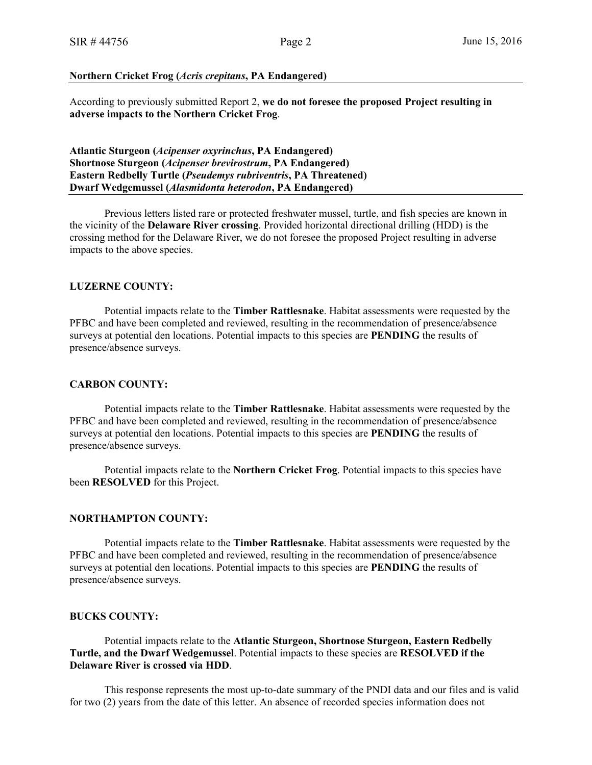#### **Northern Cricket Frog (***Acris crepitans***, PA Endangered)**

According to previously submitted Report 2, **we do not foresee the proposed Project resulting in adverse impacts to the Northern Cricket Frog**.

**Atlantic Sturgeon (***Acipenser oxyrinchus***, PA Endangered) Shortnose Sturgeon (***Acipenser brevirostrum***, PA Endangered) Eastern Redbelly Turtle (***Pseudemys rubriventris***, PA Threatened) Dwarf Wedgemussel (***Alasmidonta heterodon***, PA Endangered)**

Previous letters listed rare or protected freshwater mussel, turtle, and fish species are known in the vicinity of the **Delaware River crossing**. Provided horizontal directional drilling (HDD) is the crossing method for the Delaware River, we do not foresee the proposed Project resulting in adverse impacts to the above species.

### **LUZERNE COUNTY:**

Potential impacts relate to the **Timber Rattlesnake**. Habitat assessments were requested by the PFBC and have been completed and reviewed, resulting in the recommendation of presence/absence surveys at potential den locations. Potential impacts to this species are **PENDING** the results of presence/absence surveys.

#### **CARBON COUNTY:**

Potential impacts relate to the **Timber Rattlesnake**. Habitat assessments were requested by the PFBC and have been completed and reviewed, resulting in the recommendation of presence/absence surveys at potential den locations. Potential impacts to this species are **PENDING** the results of presence/absence surveys.

Potential impacts relate to the **Northern Cricket Frog**. Potential impacts to this species have been **RESOLVED** for this Project.

#### **NORTHAMPTON COUNTY:**

Potential impacts relate to the **Timber Rattlesnake**. Habitat assessments were requested by the PFBC and have been completed and reviewed, resulting in the recommendation of presence/absence surveys at potential den locations. Potential impacts to this species are **PENDING** the results of presence/absence surveys.

### **BUCKS COUNTY:**

Potential impacts relate to the **Atlantic Sturgeon, Shortnose Sturgeon, Eastern Redbelly Turtle, and the Dwarf Wedgemussel**. Potential impacts to these species are **RESOLVED if the Delaware River is crossed via HDD**.

This response represents the most up-to-date summary of the PNDI data and our files and is valid for two (2) years from the date of this letter. An absence of recorded species information does not